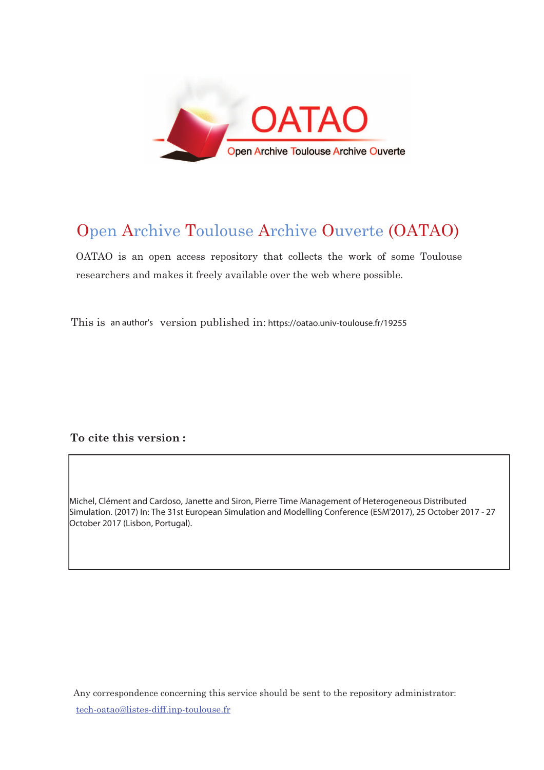

# Open Archive Toulouse Archive Ouverte (OATAO)

OATAO is an open access repository that collects the work of some Toulouse researchers and makes it freely available over the web where possible.

This is an author's version published in: https://oatao.univ-toulouse.fr/19255

# To cite this version :

Michel, Clément and Cardoso, Janette and Siron, Pierre Time Management of Heterogeneous Distributed Simulation. (2017) In: The 31st European Simulation and Modelling Conference (ESM'2017), 25 October 2017 - 27 October 2017 (Lisbon, Portugal).

Any correspondence concerning this service should be sent to the repository administrator: <u>tech-oatao@listes-diff.inp-toulouse.fr</u>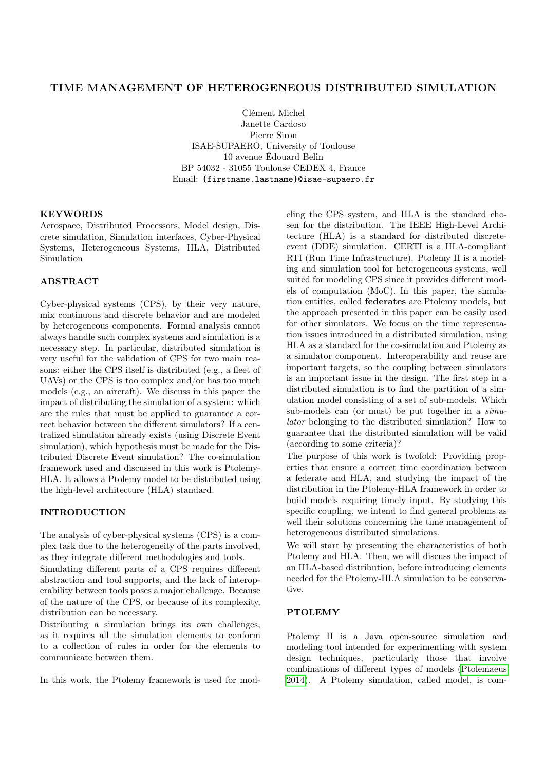# TIME MANAGEMENT OF HETEROGENEOUS DISTRIBUTED SIMULATION

Clément Michel Janette Cardoso Pierre Siron ISAE-SUPAERO, University of Toulouse 10 avenue Édouard Belin BP 54032 - 31055 Toulouse CEDEX 4, France Email: {firstname.lastname}@isae-supaero.fr

# **KEYWORDS**

Aerospace, Distributed Processors, Model design, Discrete simulation, Simulation interfaces, Cyber-Physical Systems, Heterogeneous Systems, HLA, Distributed Simulation

## ABSTRACT

Cyber-physical systems (CPS), by their very nature, mix continuous and discrete behavior and are modeled by heterogeneous components. Formal analysis cannot always handle such complex systems and simulation is a necessary step. In particular, distributed simulation is very useful for the validation of CPS for two main reasons: either the CPS itself is distributed (e.g., a fleet of UAVs) or the CPS is too complex and/or has too much models (e.g., an aircraft). We discuss in this paper the impact of distributing the simulation of a system: which are the rules that must be applied to guarantee a correct behavior between the different simulators? If a centralized simulation already exists (using Discrete Event simulation), which hypothesis must be made for the Distributed Discrete Event simulation? The co-simulation framework used and discussed in this work is Ptolemy-HLA. It allows a Ptolemy model to be distributed using the high-level architecture (HLA) standard.

#### INTRODUCTION

The analysis of cyber-physical systems (CPS) is a complex task due to the heterogeneity of the parts involved, as they integrate different methodologies and tools.

Simulating different parts of a CPS requires different abstraction and tool supports, and the lack of interoperability between tools poses a major challenge. Because of the nature of the CPS, or because of its complexity, distribution can be necessary.

Distributing a simulation brings its own challenges, as it requires all the simulation elements to conform to a collection of rules in order for the elements to communicate between them.

In this work, the Ptolemy framework is used for mod-

eling the CPS system, and HLA is the standard chosen for the distribution. The IEEE High-Level Architecture (HLA) is a standard for distributed discreteevent (DDE) simulation. CERTI is a HLA-compliant RTI (Run Time Infrastructure). Ptolemy II is a modeling and simulation tool for heterogeneous systems, well suited for modeling CPS since it provides different models of computation (MoC). In this paper, the simulation entities, called federates are Ptolemy models, but the approach presented in this paper can be easily used for other simulators. We focus on the time representation issues introduced in a distributed simulation, using HLA as a standard for the co-simulation and Ptolemy as a simulator component. Interoperability and reuse are important targets, so the coupling between simulators is an important issue in the design. The first step in a distributed simulation is to find the partition of a simulation model consisting of a set of sub-models. Which sub-models can (or must) be put together in a *simu*lator belonging to the distributed simulation? How to guarantee that the distributed simulation will be valid (according to some criteria)?

The purpose of this work is twofold: Providing properties that ensure a correct time coordination between a federate and HLA, and studying the impact of the distribution in the Ptolemy-HLA framework in order to build models requiring timely input. By studying this specific coupling, we intend to find general problems as well their solutions concerning the time management of heterogeneous distributed simulations.

We will start by presenting the characteristics of both Ptolemy and HLA. Then, we will discuss the impact of an HLA-based distribution, before introducing elements needed for the Ptolemy-HLA simulation to be conservative.

#### PTOLEMY

Ptolemy II is a Java open-source simulation and modeling tool intended for experimenting with system design techniques, particularly those that involve combinations of different types of models [\(Ptolemaeus](#page-7-0) [2014\)](#page-7-0). A Ptolemy simulation, called model, is com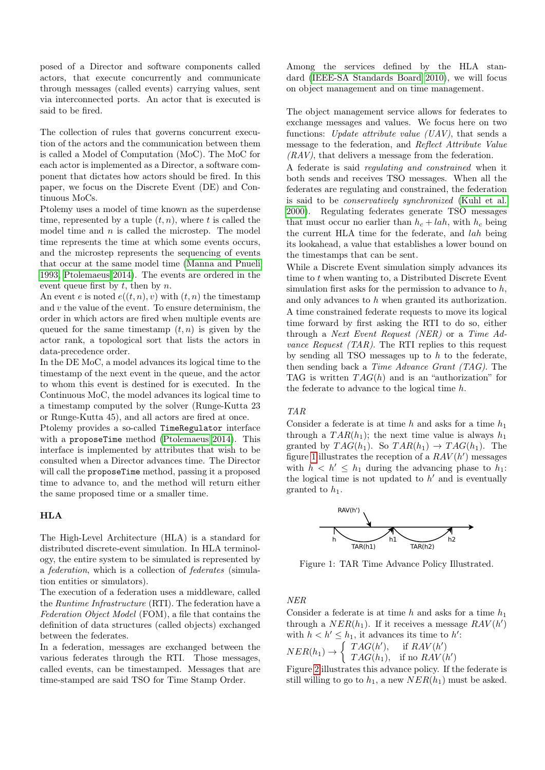posed of a Director and software components called actors, that execute concurrently and communicate through messages (called events) carrying values, sent via interconnected ports. An actor that is executed is said to be fired.

The collection of rules that governs concurrent execution of the actors and the communication between them is called a Model of Computation (MoC). The MoC for each actor is implemented as a Director, a software component that dictates how actors should be fired. In this paper, we focus on the Discrete Event (DE) and Continuous MoCs.

Ptolemy uses a model of time known as the superdense time, represented by a tuple  $(t, n)$ , where t is called the model time and  $n$  is called the microstep. The model time represents the time at which some events occurs, and the microstep represents the sequencing of events that occur at the same model time [\(Manna and Pnueli](#page-7-1) [1993,](#page-7-1) [Ptolemaeus 2014\)](#page-7-0). The events are ordered in the event queue first by  $t$ , then by  $n$ .

An event e is noted  $e((t, n), v)$  with  $(t, n)$  the timestamp and  $v$  the value of the event. To ensure determinism, the order in which actors are fired when multiple events are queued for the same timestamp  $(t, n)$  is given by the actor rank, a topological sort that lists the actors in data-precedence order.

In the DE MoC, a model advances its logical time to the timestamp of the next event in the queue, and the actor to whom this event is destined for is executed. In the Continuous MoC, the model advances its logical time to a timestamp computed by the solver (Runge-Kutta 23 or Runge-Kutta 45), and all actors are fired at once.

Ptolemy provides a so-called TimeRegulator interface with a proposeTime method [\(Ptolemaeus 2014\)](#page-7-0). This interface is implemented by attributes that wish to be consulted when a Director advances time. The Director will call the proposeTime method, passing it a proposed time to advance to, and the method will return either the same proposed time or a smaller time.

#### HLA

The High-Level Architecture (HLA) is a standard for distributed discrete-event simulation. In HLA terminology, the entire system to be simulated is represented by a federation, which is a collection of federates (simulation entities or simulators).

The execution of a federation uses a middleware, called the Runtime Infrastructure (RTI). The federation have a Federation Object Model (FOM), a file that contains the definition of data structures (called objects) exchanged between the federates.

In a federation, messages are exchanged between the various federates through the RTI. Those messages, called events, can be timestamped. Messages that are time-stamped are said TSO for Time Stamp Order.

Among the services defined by the HLA standard [\(IEEE-SA Standards Board 2010\)](#page-7-2), we will focus on object management and on time management.

The object management service allows for federates to exchange messages and values. We focus here on two functions: Update attribute value  $(UAV)$ , that sends a message to the federation, and Reflect Attribute Value  $(RAV)$ , that delivers a message from the federation.

A federate is said regulating and constrained when it both sends and receives TSO messages. When all the federates are regulating and constrained, the federation is said to be conservatively synchronized [\(Kuhl et al.](#page-7-3) [2000\)](#page-7-3). Regulating federates generate TSO messages that must occur no earlier than  $h_c + lah$ , with  $h_c$  being the current HLA time for the federate, and lah being its lookahead, a value that establishes a lower bound on the timestamps that can be sent.

While a Discrete Event simulation simply advances its time to  $t$  when wanting to, a Distributed Discrete Event simulation first asks for the permission to advance to  $h$ , and only advances to h when granted its authorization. A time constrained federate requests to move its logical time forward by first asking the RTI to do so, either through a Next Event Request (NER) or a Time Advance Request  $(TAR)$ . The RTI replies to this request by sending all TSO messages up to  $h$  to the federate, then sending back a Time Advance Grant (TAG). The TAG is written  $TAG(h)$  and is an "authorization" for the federate to advance to the logical time h.

#### TAR

Consider a federate is at time  $h$  and asks for a time  $h_1$ through a  $TAR(h_1)$ ; the next time value is always  $h_1$ granted by  $TAG(h_1)$ . So  $TAR(h_1) \rightarrow TAG(h_1)$ . The figure [1](#page-2-0) illustrates the reception of a  $RAV(h')$  messages with  $h < h' \leq h_1$  during the advancing phase to  $h_1$ : the logical time is not updated to  $h'$  and is eventually granted to  $h_1$ .

<span id="page-2-0"></span>

Figure 1: TAR Time Advance Policy Illustrated.

NER

Consider a federate is at time h and asks for a time  $h_1$ through a  $NER(h_1)$ . If it receives a message  $RAV(h')$ with  $h < h' \leq h_1$ , it advances its time to h':  $NER(h_1) \rightarrow \begin{cases} TAG(h'), & \text{if } RAV(h') \\ TAG(h,) & \text{if } no BAV(h') \end{cases}$  $TAG(h_1)$ , if no  $RAV(h')$ 

Figure [2](#page-3-0) illustrates this advance policy. If the federate is still willing to go to  $h_1$ , a new  $NER(h_1)$  must be asked.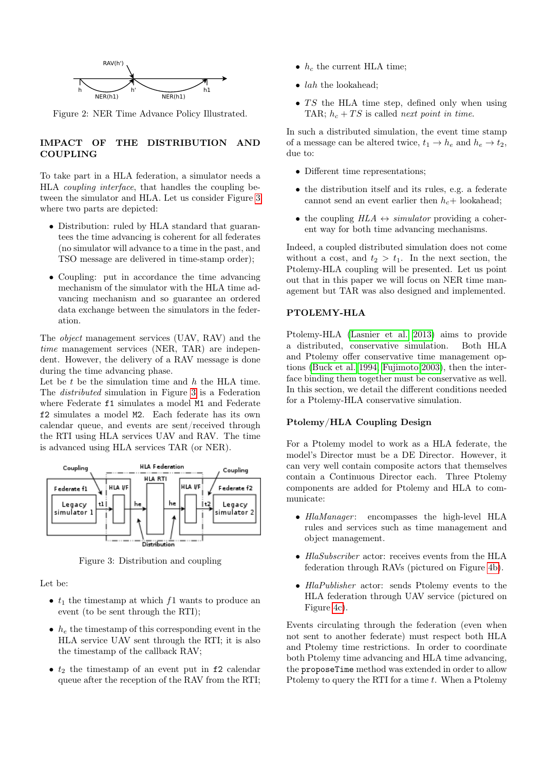<span id="page-3-0"></span>

Figure 2: NER Time Advance Policy Illustrated.

# IMPACT OF THE DISTRIBUTION AND **COUPLING**

To take part in a HLA federation, a simulator needs a HLA coupling interface, that handles the coupling between the simulator and HLA. Let us consider Figure [3](#page-3-1) where two parts are depicted:

- Distribution: ruled by HLA standard that guarantees the time advancing is coherent for all federates (no simulator will advance to a time in the past, and TSO message are delivered in time-stamp order);
- Coupling: put in accordance the time advancing mechanism of the simulator with the HLA time advancing mechanism and so guarantee an ordered data exchange between the simulators in the federation.

The object management services (UAV, RAV) and the time management services (NER, TAR) are independent. However, the delivery of a RAV message is done during the time advancing phase.

Let be  $t$  be the simulation time and  $h$  the HLA time. The distributed simulation in Figure [3](#page-3-1) is a Federation where Federate f1 simulates a model M1 and Federate f2 simulates a model M2. Each federate has its own calendar queue, and events are sent/received through the RTI using HLA services UAV and RAV. The time is advanced using HLA services TAR (or NER).

<span id="page-3-1"></span>

Figure 3: Distribution and coupling

Let be:

- $t_1$  the timestamp at which f1 wants to produce an event (to be sent through the RTI);
- $h_e$  the timestamp of this corresponding event in the HLA service UAV sent through the RTI; it is also the timestamp of the callback RAV;
- $t_2$  the timestamp of an event put in f2 calendar queue after the reception of the RAV from the RTI;
- $h_c$  the current HLA time;
- $\bullet$  *lah* the lookahead;
- $TS$  the HLA time step, defined only when using TAR;  $h_c + TS$  is called *next point in time*.

In such a distributed simulation, the event time stamp of a message can be altered twice,  $t_1 \rightarrow h_e$  and  $h_e \rightarrow t_2$ , due to:

- Different time representations;
- the distribution itself and its rules, e.g. a federate cannot send an event earlier then  $h_c+$  lookahead;
- the coupling  $HLA \leftrightarrow simulation$  providing a coherent way for both time advancing mechanisms.

Indeed, a coupled distributed simulation does not come without a cost, and  $t_2 > t_1$ . In the next section, the Ptolemy-HLA coupling will be presented. Let us point out that in this paper we will focus on NER time management but TAR was also designed and implemented.

# PTOLEMY-HLA

Ptolemy-HLA [\(Lasnier et al. 2013\)](#page-7-4) aims to provide a distributed, conservative simulation. Both HLA and Ptolemy offer conservative time management options [\(Buck et al. 1994,](#page-7-5) [Fujimoto 2003\)](#page-7-6), then the interface binding them together must be conservative as well. In this section, we detail the different conditions needed for a Ptolemy-HLA conservative simulation.

#### Ptolemy/HLA Coupling Design

For a Ptolemy model to work as a HLA federate, the model's Director must be a DE Director. However, it can very well contain composite actors that themselves contain a Continuous Director each. Three Ptolemy components are added for Ptolemy and HLA to communicate:

- HlaManager: encompasses the high-level HLA rules and services such as time management and object management.
- HlaSubscriber actor: receives events from the HLA federation through RAVs (pictured on Figure [4b\)](#page-5-0).
- HlaPublisher actor: sends Ptolemy events to the HLA federation through UAV service (pictured on Figure [4c\)](#page-5-0).

Events circulating through the federation (even when not sent to another federate) must respect both HLA and Ptolemy time restrictions. In order to coordinate both Ptolemy time advancing and HLA time advancing, the proposeTime method was extended in order to allow Ptolemy to query the RTI for a time  $t$ . When a Ptolemy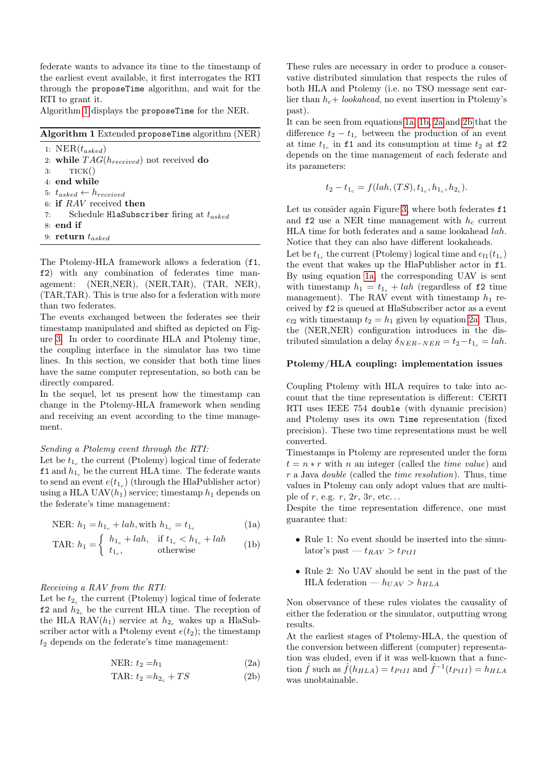federate wants to advance its time to the timestamp of the earliest event available, it first interrogates the RTI through the proposeTime algorithm, and wait for the RTI to grant it.

Algorithm [1](#page-4-0) displays the proposeTime for the NER.

<span id="page-4-0"></span>Algorithm 1 Extended proposeTime algorithm (NER)

1:  $NER(t_{asked})$ 2: while  $TAG(h_{received})$  not received do  $3:$  TICK $()$ 4: end while 5:  $t_{asked} \leftarrow h_{received}$ 6: if RAV received then 7: Schedule HlaSubscriber firing at  $t_{asked}$ 8: end if 9: return  $t_{asked}$ 

The Ptolemy-HLA framework allows a federation (f1, f2) with any combination of federates time management: (NER,NER), (NER,TAR), (TAR, NER), (TAR,TAR). This is true also for a federation with more than two federates.

The events exchanged between the federates see their timestamp manipulated and shifted as depicted on Figure [3.](#page-3-1) In order to coordinate HLA and Ptolemy time, the coupling interface in the simulator has two time lines. In this section, we consider that both time lines have the same computer representation, so both can be directly compared.

In the sequel, let us present how the timestamp can change in the Ptolemy-HLA framework when sending and receiving an event according to the time management.

#### Sending a Ptolemy event through the RTI:

Let be  $t_{1_c}$  the current (Ptolemy) logical time of federate f1 and  $h_{1c}$  be the current HLA time. The federate wants to send an event  $e(t_{1_c})$  (through the HlaPublisher actor) using a HLA UAV $(h_1)$  service; timestamp  $h_1$  depends on the federate's time management:

NER: 
$$
h_1 = h_{1_c} + lah
$$
, with  $h_{1_c} = t_{1_c}$  (1a)

$$
\text{TAR: } h_1 = \begin{cases} h_{1_c} + lah, & \text{if } t_{1_c} < h_{1_c} + lah \\ t_{1_c}, & \text{otherwise} \end{cases} \tag{1b}
$$

#### Receiving a RAV from the RTI:

Let be  $t_{2_c}$  the current (Ptolemy) logical time of federate f2 and  $h_{2c}$  be the current HLA time. The reception of the HLA RAV $(h_1)$  service at  $h_2$ , wakes up a HlaSubscriber actor with a Ptolemy event  $e(t_2)$ ; the timestamp  $t_2$  depends on the federate's time management:

$$
NER: t_2 = h_1 \tag{2a}
$$

$$
TAR: t_2 = h_{2_c} + TS \tag{2b}
$$

These rules are necessary in order to produce a conservative distributed simulation that respects the rules of both HLA and Ptolemy (i.e. no TSO message sent earlier than  $h_c$ + lookahead, no event insertion in Ptolemy's past).

It can be seen from equations [1a,](#page-4-1) [1b,](#page-4-2) [2a](#page-4-1) and [2b](#page-4-2) that the difference  $t_2 - t_{1c}$  between the production of an event at time  $t_{1_c}$  in f1 and its consumption at time  $t_2$  at f2 depends on the time management of each federate and its parameters:

$$
t_2 - t_{1_c} = f(lah, (TS), t_{1_c}, h_{1_c}, h_{2_c}).
$$

Let us consider again Figure [3,](#page-3-1) where both federates  $f1$ and  $f_2$  use a NER time management with  $h_c$  current HLA time for both federates and a same lookahead lah. Notice that they can also have different lookaheads.

Let be  $t_{1_c}$  the current (Ptolemy) logical time and  $e_{f1}(t_{1_c})$ the event that wakes up the HlaPublisher actor in f1. By using equation [1a,](#page-4-1) the corresponding UAV is sent with timestamp  $h_1 = t_{1c} + \text{lab}$  (regardless of f2 time management). The RAV event with timestamp  $h_1$  received by f2 is queued at HlaSubscriber actor as a event  $e_{f2}$  with timestamp  $t_2 = h_1$  given by equation [2a.](#page-4-1) Thus, the (NER,NER) configuration introduces in the distributed simulation a delay  $\delta_{NER-NER} = t_2 - t_{1_c} = lab$ .

#### Ptolemy/HLA coupling: implementation issues

Coupling Ptolemy with HLA requires to take into account that the time representation is different: CERTI RTI uses IEEE 754 double (with dynamic precision) and Ptolemy uses its own Time representation (fixed precision). These two time representations must be well converted.

Timestamps in Ptolemy are represented under the form  $t = n * r$  with n an integer (called the *time value*) and r a Java double (called the time resolution). Thus, time values in Ptolemy can only adopt values that are multiple of  $r$ , e.g.  $r$ ,  $2r$ ,  $3r$ , etc...

<span id="page-4-2"></span><span id="page-4-1"></span>Despite the time representation difference, one must guarantee that:

- Rule 1: No event should be inserted into the simulator's past  $-t_{RAV} > t_{PtII}$
- Rule 2: No UAV should be sent in the past of the HLA federation —  $h_{UAV} > h_{HLA}$

Non observance of these rules violates the causality of either the federation or the simulator, outputting wrong results.

At the earliest stages of Ptolemy-HLA, the question of the conversion between different (computer) representation was eluded, even if it was well-known that a function  $\hat{f}$  such as  $\hat{f}(h_{HLA}) = t_{PtII}$  and  $\hat{f}^{-1}(t_{PtII}) = h_{HLA}$ was unobtainable.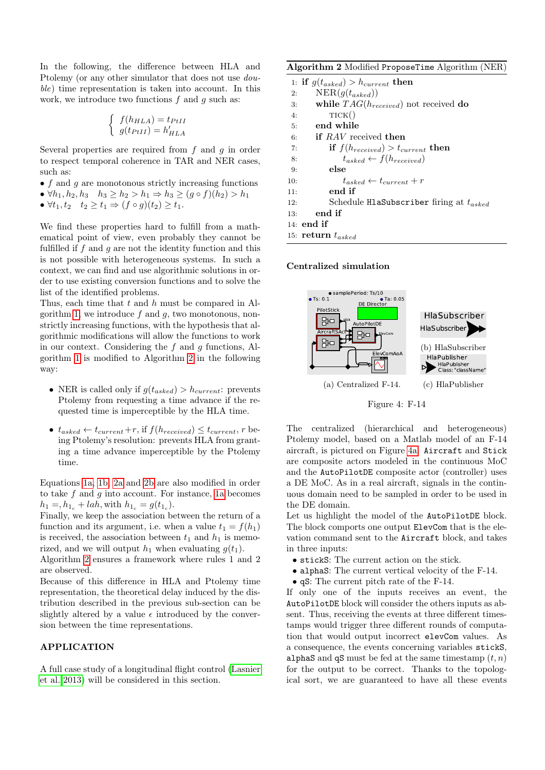In the following, the difference between HLA and Ptolemy (or any other simulator that does not use double) time representation is taken into account. In this work, we introduce two functions  $f$  and  $q$  such as:

$$
\begin{cases} f(h_{HLA}) = t_{PtII} \\ g(t_{PtII}) = h'_{HLA} \end{cases}
$$

Several properties are required from  $f$  and  $g$  in order to respect temporal coherence in TAR and NER cases, such as:

- $\bullet$  f and g are monotonous strictly increasing functions
- $\forall h_1, h_2, h_3 \quad h_3 \geq h_2 > h_1 \Rightarrow h_3 \geq (g \circ f)(h_2) > h_1$
- $\forall t_1, t_2 \quad t_2 \geq t_1 \Rightarrow (f \circ g)(t_2) \geq t_1.$

We find these properties hard to fulfill from a mathematical point of view, even probably they cannot be fulfilled if  $f$  and  $q$  are not the identity function and this is not possible with heterogeneous systems. In such a context, we can find and use algorithmic solutions in order to use existing conversion functions and to solve the list of the identified problems.

Thus, each time that  $t$  and  $h$  must be compared in Al-gorithm [1,](#page-4-0) we introduce  $f$  and  $g$ , two monotonous, nonstrictly increasing functions, with the hypothesis that algorithmic modifications will allow the functions to work in our context. Considering the  $f$  and  $q$  functions, Algorithm [1](#page-4-0) is modified to Algorithm [2](#page-5-1) in the following way:

- NER is called only if  $g(t_{asked}) > h_{current}$ : prevents Ptolemy from requesting a time advance if the requested time is imperceptible by the HLA time.
- $t_{asked} \leftarrow t_{current} + r$ , if  $f(h_{received}) \leq t_{current}$ , r being Ptolemy's resolution: prevents HLA from granting a time advance imperceptible by the Ptolemy time.

Equations [1a,](#page-4-1) [1b,](#page-4-2) [2a](#page-4-1) and [2b](#page-4-2) are also modified in order to take  $f$  and  $g$  into account. For instance, [1a](#page-4-1) becomes  $h_1 = h_{1c} + \text{lah}, \text{with } h_{1c} = g(t_{1c}).$ 

Finally, we keep the association between the return of a function and its argument, i.e. when a value  $t_1 = f(h_1)$ is received, the association between  $t_1$  and  $h_1$  is memorized, and we will output  $h_1$  when evaluating  $g(t_1)$ .

Algorithm [2](#page-5-1) ensures a framework where rules 1 and 2 are observed.

Because of this difference in HLA and Ptolemy time representation, the theoretical delay induced by the distribution described in the previous sub-section can be slightly altered by a value  $\epsilon$  introduced by the conversion between the time representations.

# APPLICATION

A full case study of a longitudinal flight control [\(Lasnier](#page-7-4) [et al. 2013\)](#page-7-4) will be considered in this section.

<span id="page-5-1"></span>Algorithm 2 Modified ProposeTime Algorithm (NER)

|     | 1: if $g(t_{asked}) > h_{current}$ then             |
|-----|-----------------------------------------------------|
| 2:  | $NER(g(t_{asked}))$                                 |
| 3:  | while $TAG(h_{received})$ not received do           |
| 4:  | TICK()                                              |
| 5:  | end while                                           |
| 6:  | <b>if</b> RAV received then                         |
| 7:  | if $f(h_{received}) > t_{current}$ then             |
| 8:  | $t_{asked} \leftarrow f(h_{received})$              |
| 9:  | else                                                |
| 10: | $t_{asked} \leftarrow t_{current} + r$              |
| 11: | end if                                              |
| 12: | Schedule <b>HlaSubscriber</b> firing at $t_{asked}$ |
| 13: | end if                                              |
|     | $14:$ end if                                        |
|     | 15: return $t_{asked}$                              |

Centralized simulation

<span id="page-5-0"></span>

Figure 4: F-14

The centralized (hierarchical and heterogeneous) Ptolemy model, based on a Matlab model of an F-14 aircraft, is pictured on Figure [4a.](#page-5-0) Aircraft and Stick are composite actors modeled in the continuous MoC and the AutoPilotDE composite actor (controller) uses a DE MoC. As in a real aircraft, signals in the continuous domain need to be sampled in order to be used in the DE domain.

Let us highlight the model of the AutoPilotDE block. The block comports one output ElevCom that is the elevation command sent to the Aircraft block, and takes in three inputs:

- stickS: The current action on the stick.
- alphaS: The current vertical velocity of the F-14.
- qS: The current pitch rate of the F-14.

If only one of the inputs receives an event, the AutoPilotDE block will consider the others inputs as absent. Thus, receiving the events at three different timestamps would trigger three different rounds of computation that would output incorrect elevCom values. As a consequence, the events concerning variables stickS, alphaS and qS must be fed at the same timestamp  $(t, n)$ for the output to be correct. Thanks to the topological sort, we are guaranteed to have all these events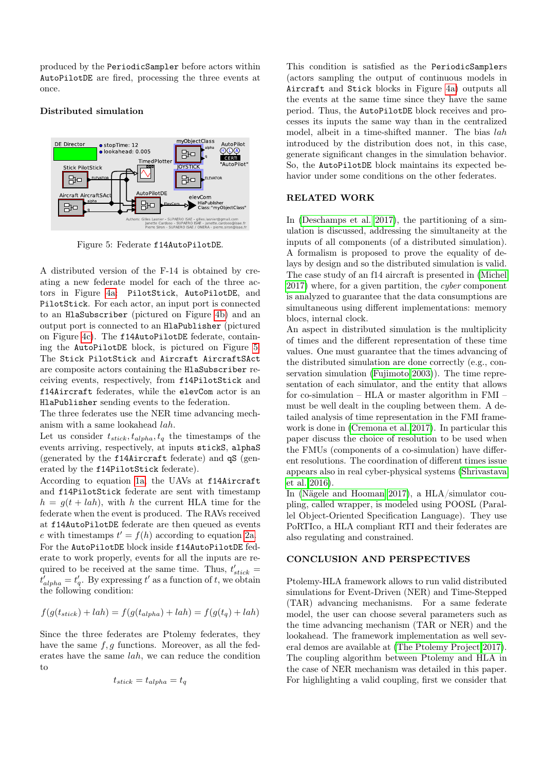produced by the PeriodicSampler before actors within AutoPilotDE are fired, processing the three events at once.

# Distributed simulation

<span id="page-6-0"></span>

Figure 5: Federate f14AutoPilotDE.

A distributed version of the F-14 is obtained by creating a new federate model for each of the three actors in Figure [4a:](#page-5-0) PilotStick, AutoPilotDE, and PilotStick. For each actor, an input port is connected to an HlaSubscriber (pictured on Figure [4b\)](#page-5-0) and an output port is connected to an HlaPublisher (pictured on Figure [4c\)](#page-5-0). The f14AutoPilotDE federate, containing the AutoPilotDE block, is pictured on Figure [5.](#page-6-0) The Stick PilotStick and Aircraft AircraftSAct are composite actors containing the HlaSubscriber receiving events, respectively, from f14PilotStick and f14Aircraft federates, while the elevCom actor is an HlaPublisher sending events to the federation.

The three federates use the NER time advancing mechanism with a same lookahead lah.

Let us consider  $t_{stick}, t_{alpha}, t_q$  the timestamps of the events arriving, respectively, at inputs stickS, alphaS (generated by the f14Aircraft federate) and qS (generated by the f14PilotStick federate).

According to equation [1a,](#page-4-1) the UAVs at f14Aircraft and f14PilotStick federate are sent with timestamp  $h = q(t + lah)$ , with h the current HLA time for the federate when the event is produced. The RAVs received at f14AutoPilotDE federate are then queued as events e with timestamps  $t' = f(h)$  according to equation [2a.](#page-4-1) For the AutoPilotDE block inside f14AutoPilotDE federate to work properly, events for all the inputs are required to be received at the same time. Thus,  $t'_{stick}$  =  $t'_{alpha} = t'_{q}$ . By expressing t' as a function of t, we obtain the following condition:

$$
f(g(t_{stick}) + lah) = f(g(t_{alpha}) + lah) = f(g(t_q) + lah)
$$

Since the three federates are Ptolemy federates, they have the same  $f, g$  functions. Moreover, as all the federates have the same lah, we can reduce the condition to

$$
t_{stick} = t_{alpha} = t_q
$$

This condition is satisfied as the PeriodicSamplers (actors sampling the output of continuous models in Aircraft and Stick blocks in Figure [4a\)](#page-5-0) outputs all the events at the same time since they have the same period. Thus, the AutoPilotDE block receives and processes its inputs the same way than in the centralized model, albeit in a time-shifted manner. The bias lah introduced by the distribution does not, in this case, generate significant changes in the simulation behavior. So, the AutoPilotDE block maintains its expected behavior under some conditions on the other federates.

# RELATED WORK

In [\(Deschamps et al. 2017\)](#page-7-7), the partitioning of a simulation is discussed, addressing the simultaneity at the inputs of all components (of a distributed simulation). A formalism is proposed to prove the equality of delays by design and so the distributed simulation is valid. The case study of an f14 aircraft is presented in [\(Michel](#page-7-8) [2017\)](#page-7-8) where, for a given partition, the cyber component is analyzed to guarantee that the data consumptions are simultaneous using different implementations: memory blocs, internal clock.

An aspect in distributed simulation is the multiplicity of times and the different representation of these time values. One must guarantee that the times advancing of the distributed simulation are done correctly (e.g., conservation simulation [\(Fujimoto 2003\)](#page-7-6)). The time representation of each simulator, and the entity that allows for co-simulation – HLA or master algorithm in FMI – must be well dealt in the coupling between them. A detailed analysis of time representation in the FMI framework is done in [\(Cremona et al. 2017\)](#page-7-9). In particular this paper discuss the choice of resolution to be used when the FMUs (components of a co-simulation) have different resolutions. The coordination of different times issue appears also in real cyber-physical systems [\(Shrivastava](#page-7-10) [et al. 2016\)](#page-7-10).

In [\(Nägele and Hooman 2017\)](#page-7-11), a HLA/simulator coupling, called wrapper, is modeled using POOSL (Parallel Object-Oriented Specification Language). They use PoRTIco, a HLA compliant RTI and their federates are also regulating and constrained.

#### CONCLUSION AND PERSPECTIVES

Ptolemy-HLA framework allows to run valid distributed simulations for Event-Driven (NER) and Time-Stepped (TAR) advancing mechanisms. For a same federate model, the user can choose several parameters such as the time advancing mechanism (TAR or NER) and the lookahead. The framework implementation as well several demos are available at [\(The Ptolemy Project 2017\)](#page-7-12). The coupling algorithm between Ptolemy and HLA in the case of NER mechanism was detailed in this paper. For highlighting a valid coupling, first we consider that